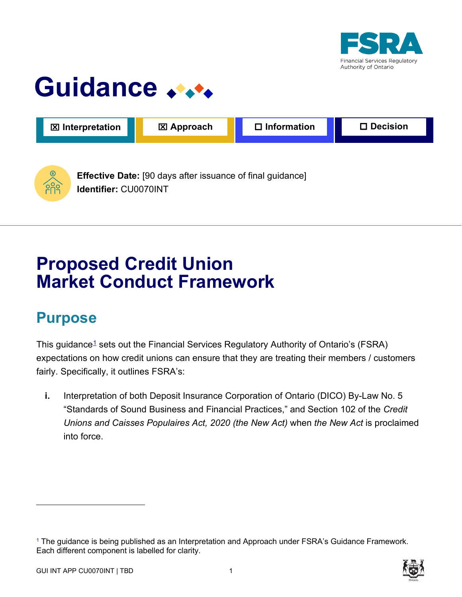

# Guidance **Algebia**



**Identifier:** CU0070INT

# **Proposed Credit Union Market Conduct Framework**

# **Purpose**

<span id="page-0-1"></span>This guidance<sup>1</sup> sets out the Financial Services Regulatory Authority of Ontario's (FSRA) expectations on how credit unions can ensure that they are treating their members / customers fairly. Specifically, it outlines FSRA's:

**i.** Interpretation of both Deposit Insurance Corporation of Ontario (DICO) By-Law No. 5 "Standards of Sound Business and Financial Practices," and Section 102 of the *Credit Unions and Caisses Populaires Act, 2020 (the New Act)* when *the New Act* is proclaimed into force.

<span id="page-0-0"></span>[<sup>1</sup>](#page-0-1) The guidance is being published as an Interpretation and Approach under FSRA's Guidance Framework. Each different component is labelled for clarity.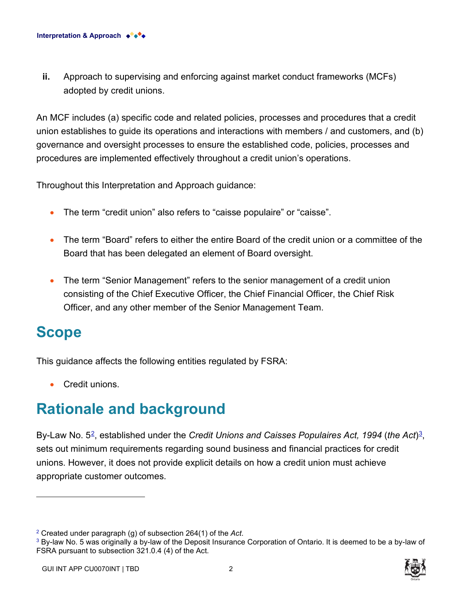**ii.** Approach to supervising and enforcing against market conduct frameworks (MCFs) adopted by credit unions.

An MCF includes (a) specific code and related policies, processes and procedures that a credit union establishes to guide its operations and interactions with members / and customers, and (b) governance and oversight processes to ensure the established code, policies, processes and procedures are implemented effectively throughout a credit union's operations.

Throughout this Interpretation and Approach guidance:

- The term "credit union" also refers to "caisse populaire" or "caisse".
- The term "Board" refers to either the entire Board of the credit union or a committee of the Board that has been delegated an element of Board oversight.
- The term "Senior Management" refers to the senior management of a credit union consisting of the Chief Executive Officer, the Chief Financial Officer, the Chief Risk Officer, and any other member of the Senior Management Team.

## **Scope**

This guidance affects the following entities regulated by FSRA:

• Credit unions.

## **Rationale and background**

<span id="page-1-1"></span>By-Law No. 5[2](#page-1-0), established under the *Credit Unions and Caisses Populaires Act, 1994* (*the Act*)[3,](#page-1-2) sets out minimum requirements regarding sound business and financial practices for credit unions. However, it does not provide explicit details on how a credit union must achieve appropriate customer outcomes.

<span id="page-1-3"></span>

<span id="page-1-0"></span>

<span id="page-1-2"></span><sup>&</sup>lt;sup>2</sup> Created under paragraph (g) of subsection 264(1) of the *Act*.<br><sup>[3](#page-1-3)</sup> By-law No. 5 was originally a by-law of the Deposit Insurance Corporation of Ontario. It is deemed to be a by-law of FSRA pursuant to subsection 321.0.4 (4) of the Act.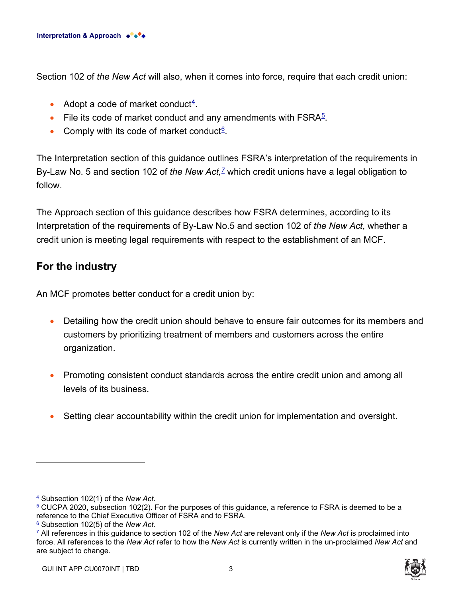Section 102 of *the New Act* will also, when it comes into force, require that each credit union:

- <span id="page-2-1"></span>• Adopt a code of market conduct $\frac{4}{1}$ .
- <span id="page-2-3"></span>• File its code of market conduct and any amendments with  $\mathsf{FSRA}^5$ .
- <span id="page-2-7"></span><span id="page-2-5"></span>• Comply with its code of market conduct<sup>6</sup>.

The Interpretation section of this guidance outlines FSRA's interpretation of the requirements in By-Law No. 5 and section 102 of *the New Act,[7](#page-2-6)* which credit unions have a legal obligation to follow.

The Approach section of this guidance describes how FSRA determines, according to its Interpretation of the requirements of By-Law No.5 and section 102 of *the New Act*, whether a credit union is meeting legal requirements with respect to the establishment of an MCF.

### **For the industry**

An MCF promotes better conduct for a credit union by:

- Detailing how the credit union should behave to ensure fair outcomes for its members and customers by prioritizing treatment of members and customers across the entire organization.
- Promoting consistent conduct standards across the entire credit union and among all levels of its business.
- Setting clear accountability within the credit union for implementation and oversight.



<span id="page-2-0"></span>[<sup>4</sup>](#page-2-1) Subsection 102(1) of the *New Act.*

<span id="page-2-2"></span>[<sup>5</sup>](#page-2-3) CUCPA 2020, subsection 102(2). For the purposes of this guidance, a reference to FSRA is deemed to be a reference to the Chief Executive Officer of FSRA and to FSRA.

<span id="page-2-4"></span>[<sup>6</sup>](#page-2-5) Subsection 102(5) of the *New Act.*

<span id="page-2-6"></span>[<sup>7</sup>](#page-2-7) All references in this guidance to section 102 of the *New Act* are relevant only if the *New Act* is proclaimed into force. All references to the *New Act* refer to how the *New Act* is currently written in the un-proclaimed *New Act* and are subject to change.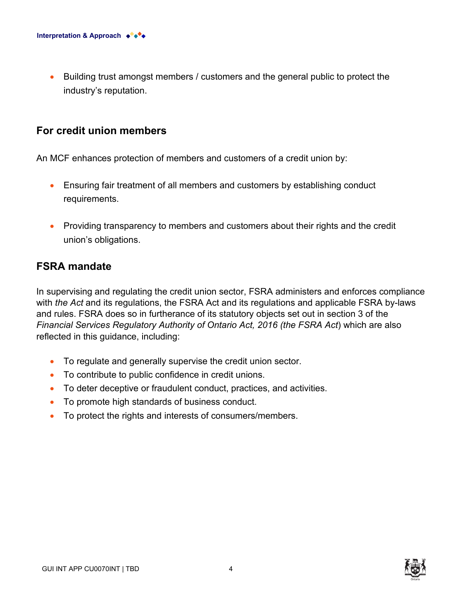• Building trust amongst members / customers and the general public to protect the industry's reputation.

#### **For credit union members**

An MCF enhances protection of members and customers of a credit union by:

- Ensuring fair treatment of all members and customers by establishing conduct requirements.
- Providing transparency to members and customers about their rights and the credit union's obligations.

### **FSRA mandate**

In supervising and regulating the credit union sector, FSRA administers and enforces compliance with *the Act* and its regulations, the FSRA Act and its regulations and applicable FSRA by-laws and rules. FSRA does so in furtherance of its statutory objects set out in section 3 of the *Financial Services Regulatory Authority of Ontario Act, 2016 (the FSRA Act*) which are also reflected in this guidance, including:

- To regulate and generally supervise the credit union sector.
- To contribute to public confidence in credit unions.
- To deter deceptive or fraudulent conduct, practices, and activities.
- To promote high standards of business conduct.
- To protect the rights and interests of consumers/members.

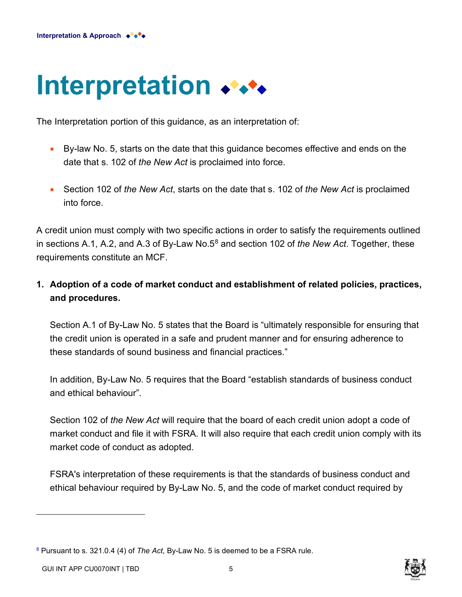# **Interpretation**

The Interpretation portion of this guidance, as an interpretation of:

- By-law No. 5, starts on the date that this guidance becomes effective and ends on the date that s. 102 of *the New Act* is proclaimed into force.
- <span id="page-4-1"></span>• Section 102 of *the New Act*, starts on the date that s. 102 of *the New Act* is proclaimed into force.

A credit union must comply with two specific actions in order to satisfy the requirements outlined in sections A.1, A.2, and A.3 of By-Law No.5[8](#page-4-0) and section 102 of *the New Act*. Together, these requirements constitute an MCF.

**1. Adoption of a code of market conduct and establishment of related policies, practices, and procedures.** 

Section A.1 of By-Law No. 5 states that the Board is "ultimately responsible for ensuring that the credit union is operated in a safe and prudent manner and for ensuring adherence to these standards of sound business and financial practices."

In addition, By-Law No. 5 requires that the Board "establish standards of business conduct and ethical behaviour".

Section 102 of *the New Act* will require that the board of each credit union adopt a code of market conduct and file it with FSRA. It will also require that each credit union comply with its market code of conduct as adopted.

FSRA's interpretation of these requirements is that the standards of business conduct and ethical behaviour required by By-Law No. 5, and the code of market conduct required by



<span id="page-4-0"></span>[<sup>8</sup>](#page-4-1) Pursuant to s. 321.0.4 (4) of *The Act*, By-Law No. 5 is deemed to be a FSRA rule.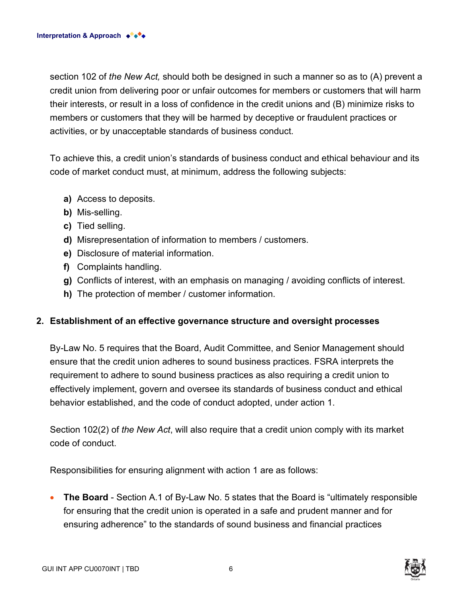section 102 of *the New Act,* should both be designed in such a manner so as to (A) prevent a credit union from delivering poor or unfair outcomes for members or customers that will harm their interests, or result in a loss of confidence in the credit unions and (B) minimize risks to members or customers that they will be harmed by deceptive or fraudulent practices or activities, or by unacceptable standards of business conduct.

To achieve this, a credit union's standards of business conduct and ethical behaviour and its code of market conduct must, at minimum, address the following subjects:

- **a)** Access to deposits.
- **b)** Mis-selling.
- **c)** Tied selling.
- **d)** Misrepresentation of information to members / customers.
- **e)** Disclosure of material information.
- **f)** Complaints handling.
- **g)** Conflicts of interest, with an emphasis on managing / avoiding conflicts of interest.
- **h)** The protection of member / customer information.

#### **2. Establishment of an effective governance structure and oversight processes**

By-Law No. 5 requires that the Board, Audit Committee, and Senior Management should ensure that the credit union adheres to sound business practices. FSRA interprets the requirement to adhere to sound business practices as also requiring a credit union to effectively implement, govern and oversee its standards of business conduct and ethical behavior established, and the code of conduct adopted, under action 1.

Section 102(2) of *the New Act*, will also require that a credit union comply with its market code of conduct.

Responsibilities for ensuring alignment with action 1 are as follows:

• **The Board** - Section A.1 of By-Law No. 5 states that the Board is "ultimately responsible for ensuring that the credit union is operated in a safe and prudent manner and for ensuring adherence" to the standards of sound business and financial practices

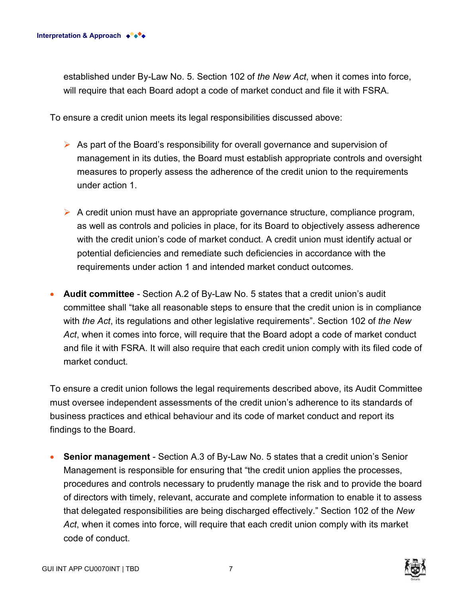established under By-Law No. 5. Section 102 of *the New Act*, when it comes into force, will require that each Board adopt a code of market conduct and file it with FSRA.

To ensure a credit union meets its legal responsibilities discussed above:

- $\triangleright$  As part of the Board's responsibility for overall governance and supervision of management in its duties, the Board must establish appropriate controls and oversight measures to properly assess the adherence of the credit union to the requirements under action 1.
- $\triangleright$  A credit union must have an appropriate governance structure, compliance program, as well as controls and policies in place, for its Board to objectively assess adherence with the credit union's code of market conduct. A credit union must identify actual or potential deficiencies and remediate such deficiencies in accordance with the requirements under action 1 and intended market conduct outcomes.
- **Audit committee** Section A.2 of By-Law No. 5 states that a credit union's audit committee shall "take all reasonable steps to ensure that the credit union is in compliance with *the Act*, its regulations and other legislative requirements". Section 102 of *the New Act*, when it comes into force, will require that the Board adopt a code of market conduct and file it with FSRA. It will also require that each credit union comply with its filed code of market conduct.

To ensure a credit union follows the legal requirements described above, its Audit Committee must oversee independent assessments of the credit union's adherence to its standards of business practices and ethical behaviour and its code of market conduct and report its findings to the Board.

• **Senior management** - Section A.3 of By-Law No. 5 states that a credit union's Senior Management is responsible for ensuring that "the credit union applies the processes, procedures and controls necessary to prudently manage the risk and to provide the board of directors with timely, relevant, accurate and complete information to enable it to assess that delegated responsibilities are being discharged effectively." Section 102 of the *New Act*, when it comes into force, will require that each credit union comply with its market code of conduct.

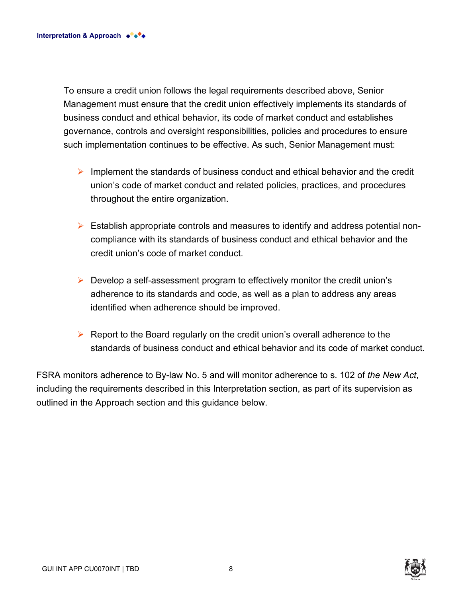To ensure a credit union follows the legal requirements described above, Senior Management must ensure that the credit union effectively implements its standards of business conduct and ethical behavior, its code of market conduct and establishes governance, controls and oversight responsibilities, policies and procedures to ensure such implementation continues to be effective. As such, Senior Management must:

- $\triangleright$  Implement the standards of business conduct and ethical behavior and the credit union's code of market conduct and related policies, practices, and procedures throughout the entire organization.
- $\triangleright$  Establish appropriate controls and measures to identify and address potential noncompliance with its standards of business conduct and ethical behavior and the credit union's code of market conduct.
- $\triangleright$  Develop a self-assessment program to effectively monitor the credit union's adherence to its standards and code, as well as a plan to address any areas identified when adherence should be improved.
- $\triangleright$  Report to the Board regularly on the credit union's overall adherence to the standards of business conduct and ethical behavior and its code of market conduct.

FSRA monitors adherence to By-law No. 5 and will monitor adherence to s. 102 of *the New Act*, including the requirements described in this Interpretation section, as part of its supervision as outlined in the Approach section and this guidance below.

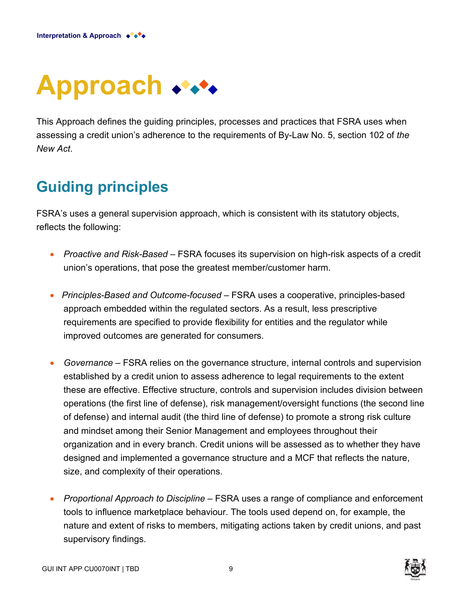

This Approach defines the guiding principles, processes and practices that FSRA uses when assessing a credit union's adherence to the requirements of By-Law No. 5, section 102 of *the New Act*.

# **Guiding principles**

FSRA's uses a general supervision approach, which is consistent with its statutory objects, reflects the following:

- *Proactive and Risk-Based* FSRA focuses its supervision on high-risk aspects of a credit union's operations, that pose the greatest member/customer harm.
- *Principles-Based and Outcome-focused –* FSRA uses a cooperative, principles-based approach embedded within the regulated sectors. As a result, less prescriptive requirements are specified to provide flexibility for entities and the regulator while improved outcomes are generated for consumers.
- *Governance* FSRA relies on the governance structure, internal controls and supervision established by a credit union to assess adherence to legal requirements to the extent these are effective. Effective structure, controls and supervision includes division between operations (the first line of defense), risk management/oversight functions (the second line of defense) and internal audit (the third line of defense) to promote a strong risk culture and mindset among their Senior Management and employees throughout their organization and in every branch. Credit unions will be assessed as to whether they have designed and implemented a governance structure and a MCF that reflects the nature, size, and complexity of their operations.
- *Proportional Approach to Discipline*  FSRA uses a range of compliance and enforcement tools to influence marketplace behaviour. The tools used depend on, for example, the nature and extent of risks to members, mitigating actions taken by credit unions, and past supervisory findings.



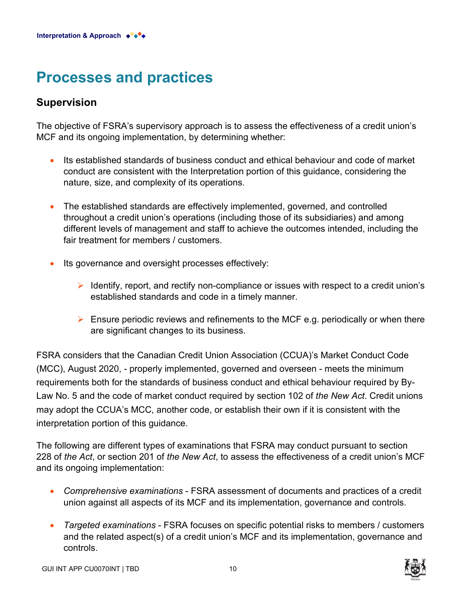## **Processes and practices**

### **Supervision**

The objective of FSRA's supervisory approach is to assess the effectiveness of a credit union's MCF and its ongoing implementation, by determining whether:

- Its established standards of business conduct and ethical behaviour and code of market conduct are consistent with the Interpretation portion of this guidance, considering the nature, size, and complexity of its operations.
- The established standards are effectively implemented, governed, and controlled throughout a credit union's operations (including those of its subsidiaries) and among different levels of management and staff to achieve the outcomes intended, including the fair treatment for members / customers.
- Its governance and oversight processes effectively:
	- $\triangleright$  Identify, report, and rectify non-compliance or issues with respect to a credit union's established standards and code in a timely manner.
	- $\triangleright$  Ensure periodic reviews and refinements to the MCF e.g. periodically or when there are significant changes to its business.

FSRA considers that the Canadian Credit Union Association (CCUA)'s Market Conduct Code (MCC), August 2020, - properly implemented, governed and overseen - meets the minimum requirements both for the standards of business conduct and ethical behaviour required by By-Law No. 5 and the code of market conduct required by section 102 of *the New Act*. Credit unions may adopt the CCUA's MCC, another code, or establish their own if it is consistent with the interpretation portion of this guidance.

The following are different types of examinations that FSRA may conduct pursuant to section 228 of *the Act*, or section 201 of *the New Act*, to assess the effectiveness of a credit union's MCF and its ongoing implementation:

- *Comprehensive examinations* FSRA assessment of documents and practices of a credit union against all aspects of its MCF and its implementation, governance and controls.
- *Targeted examinations* FSRA focuses on specific potential risks to members / customers and the related aspect(s) of a credit union's MCF and its implementation, governance and controls.

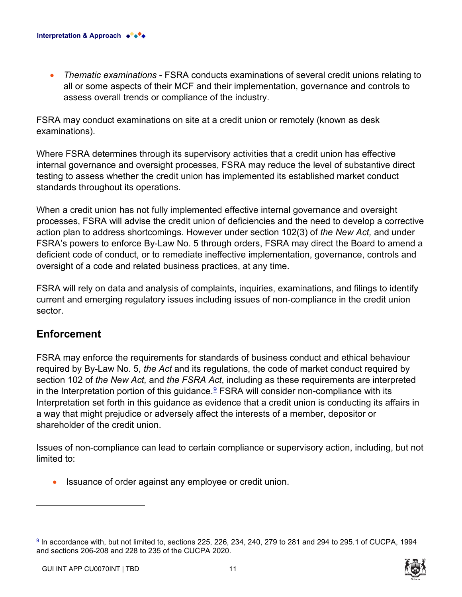• *Thematic examinations* - FSRA conducts examinations of several credit unions relating to all or some aspects of their MCF and their implementation, governance and controls to assess overall trends or compliance of the industry.

FSRA may conduct examinations on site at a credit union or remotely (known as desk examinations).

Where FSRA determines through its supervisory activities that a credit union has effective internal governance and oversight processes, FSRA may reduce the level of substantive direct testing to assess whether the credit union has implemented its established market conduct standards throughout its operations.

When a credit union has not fully implemented effective internal governance and oversight processes, FSRA will advise the credit union of deficiencies and the need to develop a corrective action plan to address shortcomings. However under section 102(3) of *the New Act,* and under FSRA's powers to enforce By-Law No. 5 through orders, FSRA may direct the Board to amend a deficient code of conduct, or to remediate ineffective implementation, governance, controls and oversight of a code and related business practices, at any time.

FSRA will rely on data and analysis of complaints, inquiries, examinations, and filings to identify current and emerging regulatory issues including issues of non-compliance in the credit union sector.

### **Enforcement**

<span id="page-10-1"></span>FSRA may enforce the requirements for standards of business conduct and ethical behaviour required by By-Law No. 5, *the Act* and its regulations, the code of market conduct required by section 102 of *the New Act,* and *the FSRA Act*, including as these requirements are interpreted in the Interpretation portion of this guidance. [9](#page-10-0) FSRA will consider non-compliance with its Interpretation set forth in this guidance as evidence that a credit union is conducting its affairs in a way that might prejudice or adversely affect the interests of a member, depositor or shareholder of the credit union.

Issues of non-compliance can lead to certain compliance or supervisory action, including, but not limited to:

Issuance of order against any employee or credit union.

<span id="page-10-0"></span>[<sup>9</sup>](#page-10-1) In accordance with, but not limited to, sections 225, 226, 234, 240, 279 to 281 and 294 to 295.1 of CUCPA, 1994 and sections 206-208 and 228 to 235 of the CUCPA 2020.